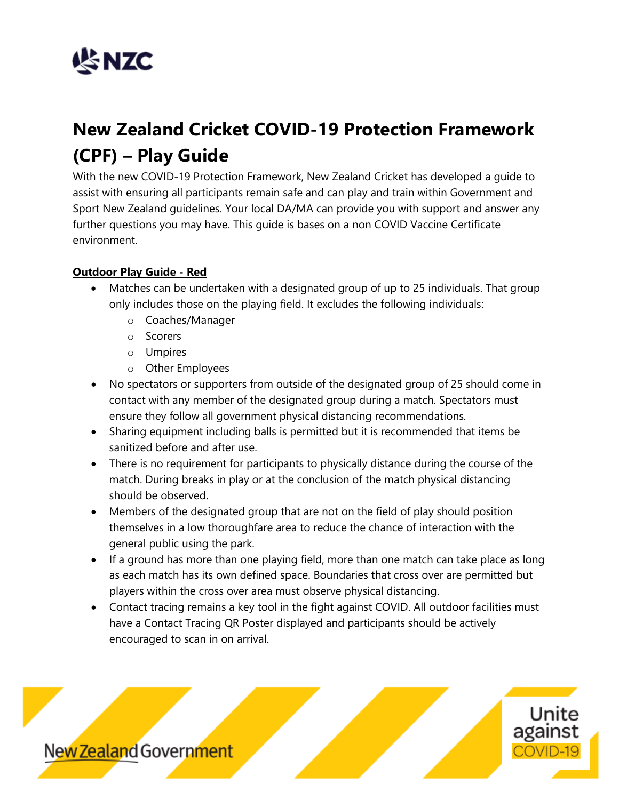

# **New Zealand Cricket COVID-19 Protection Framework (CPF) – Play Guide**

With the new COVID-19 Protection Framework, New Zealand Cricket has developed a guide to assist with ensuring all participants remain safe and can play and train within Government and Sport New Zealand guidelines. Your local DA/MA can provide you with support and answer any further questions you may have. This guide is bases on a non COVID Vaccine Certificate environment.

## **Outdoor Play Guide - Red**

- Matches can be undertaken with a designated group of up to 25 individuals. That group only includes those on the playing field. It excludes the following individuals:
	- o Coaches/Manager
	- o Scorers
	- o Umpires
	- o Other Employees
- No spectators or supporters from outside of the designated group of 25 should come in contact with any member of the designated group during a match. Spectators must ensure they follow all government physical distancing recommendations.
- Sharing equipment including balls is permitted but it is recommended that items be sanitized before and after use.
- There is no requirement for participants to physically distance during the course of the match. During breaks in play or at the conclusion of the match physical distancing should be observed.
- Members of the designated group that are not on the field of play should position themselves in a low thoroughfare area to reduce the chance of interaction with the general public using the park.
- If a ground has more than one playing field, more than one match can take place as long as each match has its own defined space. Boundaries that cross over are permitted but players within the cross over area must observe physical distancing.
- Contact tracing remains a key tool in the fight against COVID. All outdoor facilities must have a Contact Tracing QR Poster displayed and participants should be actively encouraged to scan in on arrival.

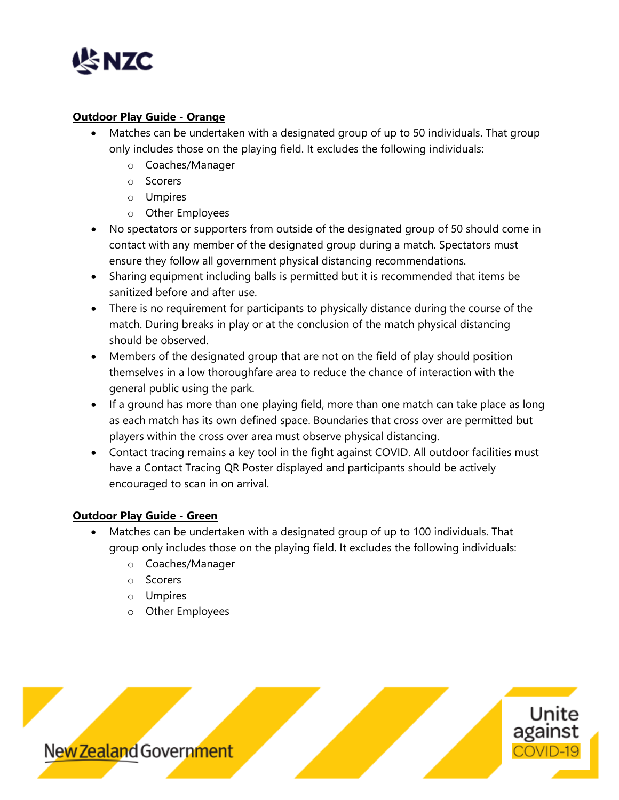

### **Outdoor Play Guide - Orange**

- Matches can be undertaken with a designated group of up to 50 individuals. That group only includes those on the playing field. It excludes the following individuals:
	- o Coaches/Manager
	- o Scorers
	- o Umpires
	- o Other Employees
- No spectators or supporters from outside of the designated group of 50 should come in contact with any member of the designated group during a match. Spectators must ensure they follow all government physical distancing recommendations.
- Sharing equipment including balls is permitted but it is recommended that items be sanitized before and after use.
- There is no requirement for participants to physically distance during the course of the match. During breaks in play or at the conclusion of the match physical distancing should be observed.
- Members of the designated group that are not on the field of play should position themselves in a low thoroughfare area to reduce the chance of interaction with the general public using the park.
- If a ground has more than one playing field, more than one match can take place as long as each match has its own defined space. Boundaries that cross over are permitted but players within the cross over area must observe physical distancing.
- Contact tracing remains a key tool in the fight against COVID. All outdoor facilities must have a Contact Tracing QR Poster displayed and participants should be actively encouraged to scan in on arrival.

## **Outdoor Play Guide - Green**

- Matches can be undertaken with a designated group of up to 100 individuals. That group only includes those on the playing field. It excludes the following individuals:
	- o Coaches/Manager
	- o Scorers
	- o Umpires
	- o Other Employees

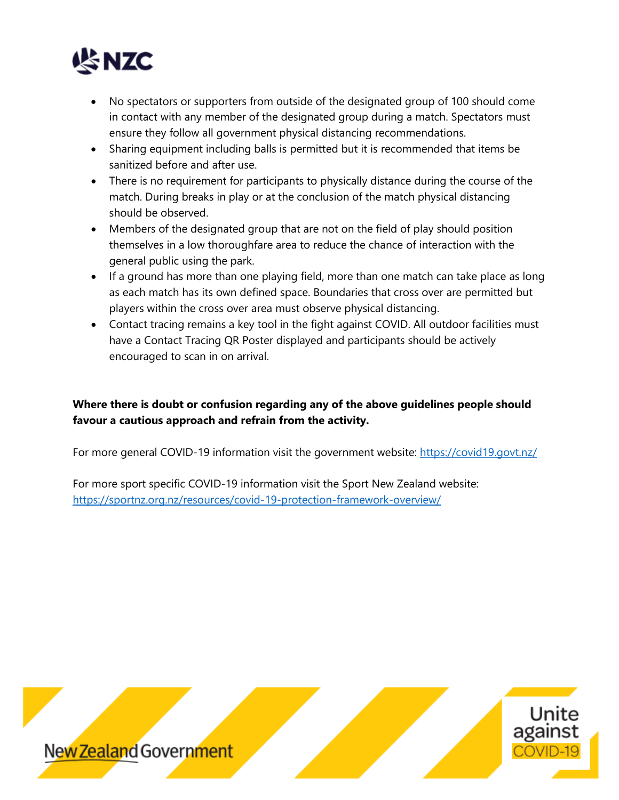

- No spectators or supporters from outside of the designated group of 100 should come in contact with any member of the designated group during a match. Spectators must ensure they follow all government physical distancing recommendations.
- Sharing equipment including balls is permitted but it is recommended that items be sanitized before and after use.
- There is no requirement for participants to physically distance during the course of the match. During breaks in play or at the conclusion of the match physical distancing should be observed.
- Members of the designated group that are not on the field of play should position themselves in a low thoroughfare area to reduce the chance of interaction with the general public using the park.
- If a ground has more than one playing field, more than one match can take place as long as each match has its own defined space. Boundaries that cross over are permitted but players within the cross over area must observe physical distancing.
- Contact tracing remains a key tool in the fight against COVID. All outdoor facilities must have a Contact Tracing QR Poster displayed and participants should be actively encouraged to scan in on arrival.

# **Where there is doubt or confusion regarding any of the above guidelines people should favour a cautious approach and refrain from the activity.**

For more general COVID-19 information visit the government website:<https://covid19.govt.nz/>

For more sport specific COVID-19 information visit the Sport New Zealand website: <https://sportnz.org.nz/resources/covid-19-protection-framework-overview/>

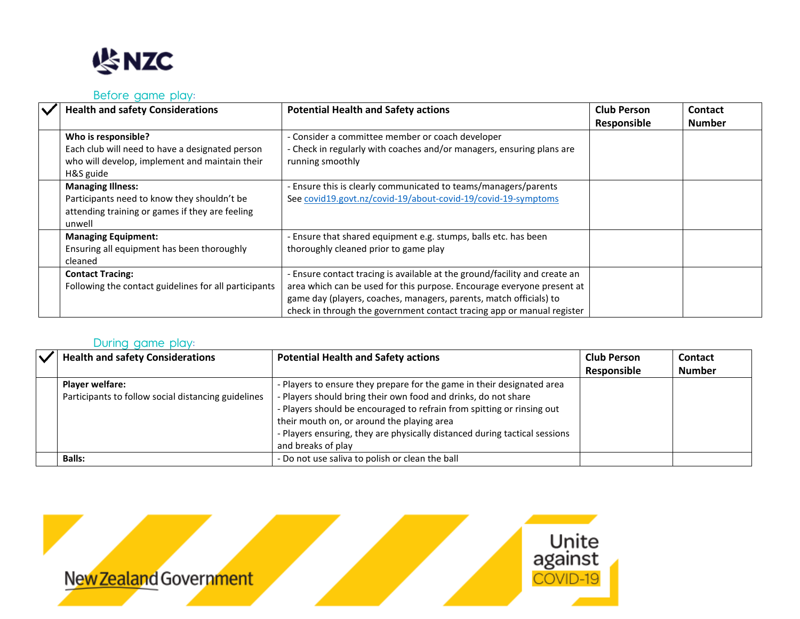

#### Before game play:

| <b>Health and safety Considerations</b>                                                                                               | <b>Potential Health and Safety actions</b>                                                                                                                                                                                                                                                           | <b>Club Person</b><br>Responsible | <b>Contact</b><br><b>Number</b> |
|---------------------------------------------------------------------------------------------------------------------------------------|------------------------------------------------------------------------------------------------------------------------------------------------------------------------------------------------------------------------------------------------------------------------------------------------------|-----------------------------------|---------------------------------|
| Who is responsible?<br>Each club will need to have a designated person<br>who will develop, implement and maintain their<br>H&S guide | - Consider a committee member or coach developer<br>- Check in regularly with coaches and/or managers, ensuring plans are<br>running smoothly                                                                                                                                                        |                                   |                                 |
| <b>Managing Illness:</b><br>Participants need to know they shouldn't be<br>attending training or games if they are feeling<br>unwell  | Ensure this is clearly communicated to teams/managers/parents<br>See covid19.govt.nz/covid-19/about-covid-19/covid-19-symptoms                                                                                                                                                                       |                                   |                                 |
| <b>Managing Equipment:</b><br>Ensuring all equipment has been thoroughly<br>cleaned                                                   | Ensure that shared equipment e.g. stumps, balls etc. has been<br>thoroughly cleaned prior to game play                                                                                                                                                                                               |                                   |                                 |
| <b>Contact Tracing:</b><br>Following the contact guidelines for all participants                                                      | - Ensure contact tracing is available at the ground/facility and create an<br>area which can be used for this purpose. Encourage everyone present at<br>game day (players, coaches, managers, parents, match officials) to<br>check in through the government contact tracing app or manual register |                                   |                                 |

### During game play:

| $\checkmark$ | <b>Health and safety Considerations</b>                                       | <b>Potential Health and Safety actions</b>                                                                                                                                                                                                                                                                                                                           | <b>Club Person</b><br>Responsible | <b>Contact</b><br><b>Number</b> |
|--------------|-------------------------------------------------------------------------------|----------------------------------------------------------------------------------------------------------------------------------------------------------------------------------------------------------------------------------------------------------------------------------------------------------------------------------------------------------------------|-----------------------------------|---------------------------------|
|              | <b>Player welfare:</b><br>Participants to follow social distancing guidelines | - Players to ensure they prepare for the game in their designated area<br>- Players should bring their own food and drinks, do not share<br>- Players should be encouraged to refrain from spitting or rinsing out<br>their mouth on, or around the playing area<br>- Players ensuring, they are physically distanced during tactical sessions<br>and breaks of play |                                   |                                 |
|              | <b>Balls:</b>                                                                 | - Do not use saliva to polish or clean the ball                                                                                                                                                                                                                                                                                                                      |                                   |                                 |

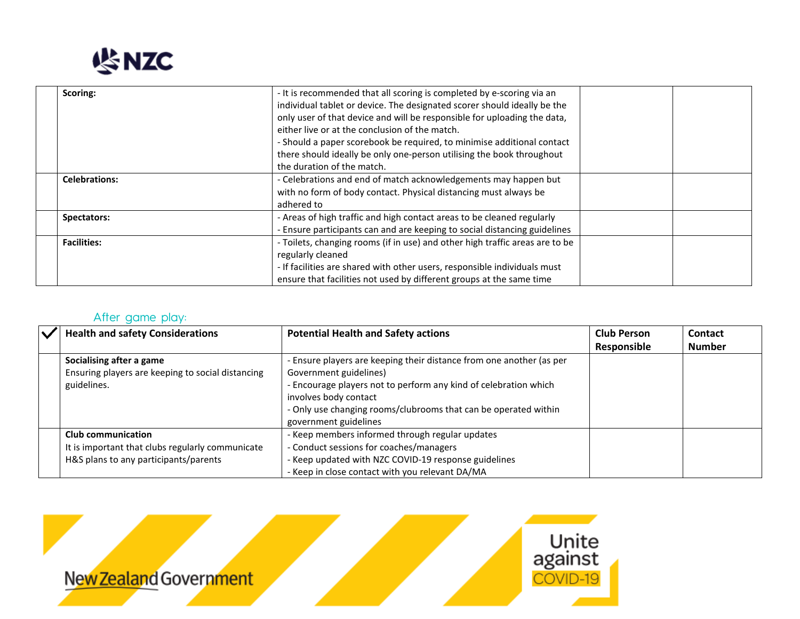

| Scoring:             | - It is recommended that all scoring is completed by e-scoring via an<br>individual tablet or device. The designated scorer should ideally be the<br>only user of that device and will be responsible for uploading the data,<br>either live or at the conclusion of the match.<br>- Should a paper scorebook be required, to minimise additional contact<br>there should ideally be only one-person utilising the book throughout<br>the duration of the match. |  |
|----------------------|------------------------------------------------------------------------------------------------------------------------------------------------------------------------------------------------------------------------------------------------------------------------------------------------------------------------------------------------------------------------------------------------------------------------------------------------------------------|--|
| <b>Celebrations:</b> | - Celebrations and end of match acknowledgements may happen but                                                                                                                                                                                                                                                                                                                                                                                                  |  |
|                      | with no form of body contact. Physical distancing must always be                                                                                                                                                                                                                                                                                                                                                                                                 |  |
|                      | adhered to                                                                                                                                                                                                                                                                                                                                                                                                                                                       |  |
| Spectators:          | - Areas of high traffic and high contact areas to be cleaned regularly                                                                                                                                                                                                                                                                                                                                                                                           |  |
|                      | - Ensure participants can and are keeping to social distancing guidelines                                                                                                                                                                                                                                                                                                                                                                                        |  |
| <b>Facilities:</b>   | - Toilets, changing rooms (if in use) and other high traffic areas are to be                                                                                                                                                                                                                                                                                                                                                                                     |  |
|                      | regularly cleaned                                                                                                                                                                                                                                                                                                                                                                                                                                                |  |
|                      | - If facilities are shared with other users, responsible individuals must                                                                                                                                                                                                                                                                                                                                                                                        |  |
|                      | ensure that facilities not used by different groups at the same time                                                                                                                                                                                                                                                                                                                                                                                             |  |

# After game play:

| <b>Health and safety Considerations</b>                                                                         | <b>Potential Health and Safety actions</b>                                                                                                                                                                                                                                              | <b>Club Person</b><br>Responsible | Contact<br><b>Number</b> |
|-----------------------------------------------------------------------------------------------------------------|-----------------------------------------------------------------------------------------------------------------------------------------------------------------------------------------------------------------------------------------------------------------------------------------|-----------------------------------|--------------------------|
| Socialising after a game<br>Ensuring players are keeping to social distancing<br>guidelines.                    | - Ensure players are keeping their distance from one another (as per<br>Government guidelines)<br>- Encourage players not to perform any kind of celebration which<br>involves body contact<br>- Only use changing rooms/clubrooms that can be operated within<br>government guidelines |                                   |                          |
| Club communication<br>It is important that clubs regularly communicate<br>H&S plans to any participants/parents | - Keep members informed through regular updates<br>- Conduct sessions for coaches/managers<br>- Keep updated with NZC COVID-19 response guidelines<br>- Keep in close contact with you relevant DA/MA                                                                                   |                                   |                          |